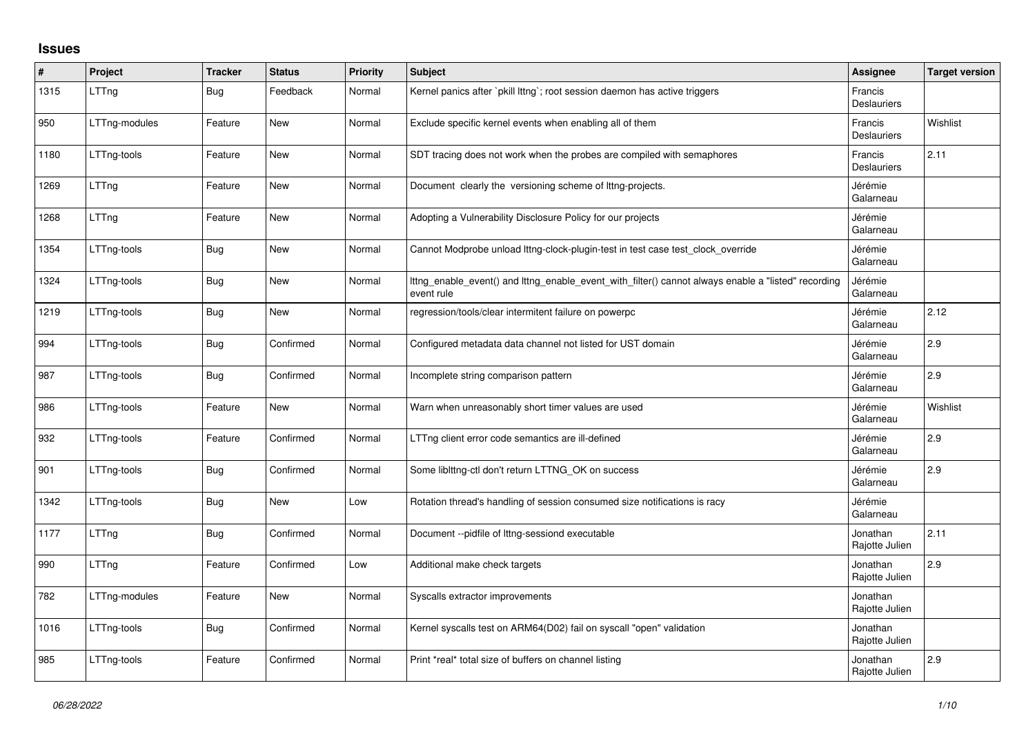## **Issues**

| #    | Project       | <b>Tracker</b> | <b>Status</b> | Priority | <b>Subject</b>                                                                                                    | Assignee                      | <b>Target version</b> |
|------|---------------|----------------|---------------|----------|-------------------------------------------------------------------------------------------------------------------|-------------------------------|-----------------------|
| 1315 | LTTng         | Bug            | Feedback      | Normal   | Kernel panics after `pkill lttng`; root session daemon has active triggers                                        | Francis<br><b>Deslauriers</b> |                       |
| 950  | LTTng-modules | Feature        | New           | Normal   | Exclude specific kernel events when enabling all of them                                                          | Francis<br><b>Deslauriers</b> | Wishlist              |
| 1180 | LTTng-tools   | Feature        | <b>New</b>    | Normal   | SDT tracing does not work when the probes are compiled with semaphores                                            | Francis<br><b>Deslauriers</b> | 2.11                  |
| 1269 | LTTng         | Feature        | New           | Normal   | Document clearly the versioning scheme of lttng-projects.                                                         | Jérémie<br>Galarneau          |                       |
| 1268 | LTTng         | Feature        | <b>New</b>    | Normal   | Adopting a Vulnerability Disclosure Policy for our projects                                                       | Jérémie<br>Galarneau          |                       |
| 1354 | LTTng-tools   | <b>Bug</b>     | <b>New</b>    | Normal   | Cannot Modprobe unload lttng-clock-plugin-test in test case test_clock_override                                   | Jérémie<br>Galarneau          |                       |
| 1324 | LTTng-tools   | <b>Bug</b>     | New           | Normal   | Ittng_enable_event() and Ittng_enable_event_with_filter() cannot always enable a "listed" recording<br>event rule | Jérémie<br>Galarneau          |                       |
| 1219 | LTTng-tools   | <b>Bug</b>     | New           | Normal   | regression/tools/clear intermitent failure on powerpc                                                             | Jérémie<br>Galarneau          | 2.12                  |
| 994  | LTTng-tools   | <b>Bug</b>     | Confirmed     | Normal   | Configured metadata data channel not listed for UST domain                                                        | Jérémie<br>Galarneau          | 2.9                   |
| 987  | LTTng-tools   | <b>Bug</b>     | Confirmed     | Normal   | Incomplete string comparison pattern                                                                              | Jérémie<br>Galarneau          | 2.9                   |
| 986  | LTTng-tools   | Feature        | New           | Normal   | Warn when unreasonably short timer values are used                                                                | Jérémie<br>Galarneau          | Wishlist              |
| 932  | LTTng-tools   | Feature        | Confirmed     | Normal   | LTTng client error code semantics are ill-defined                                                                 | Jérémie<br>Galarneau          | 2.9                   |
| 901  | LTTng-tools   | <b>Bug</b>     | Confirmed     | Normal   | Some liblttng-ctl don't return LTTNG_OK on success                                                                | Jérémie<br>Galarneau          | 2.9                   |
| 1342 | LTTng-tools   | Bug            | New           | Low      | Rotation thread's handling of session consumed size notifications is racy                                         | Jérémie<br>Galarneau          |                       |
| 1177 | LTTng         | Bug            | Confirmed     | Normal   | Document --pidfile of lttng-sessiond executable                                                                   | Jonathan<br>Rajotte Julien    | 2.11                  |
| 990  | LTTng         | Feature        | Confirmed     | Low      | Additional make check targets                                                                                     | Jonathan<br>Rajotte Julien    | 2.9                   |
| 782  | LTTng-modules | Feature        | <b>New</b>    | Normal   | Syscalls extractor improvements                                                                                   | Jonathan<br>Rajotte Julien    |                       |
| 1016 | LTTng-tools   | Bug            | Confirmed     | Normal   | Kernel syscalls test on ARM64(D02) fail on syscall "open" validation                                              | Jonathan<br>Rajotte Julien    |                       |
| 985  | LTTng-tools   | Feature        | Confirmed     | Normal   | Print *real* total size of buffers on channel listing                                                             | Jonathan<br>Rajotte Julien    | 2.9                   |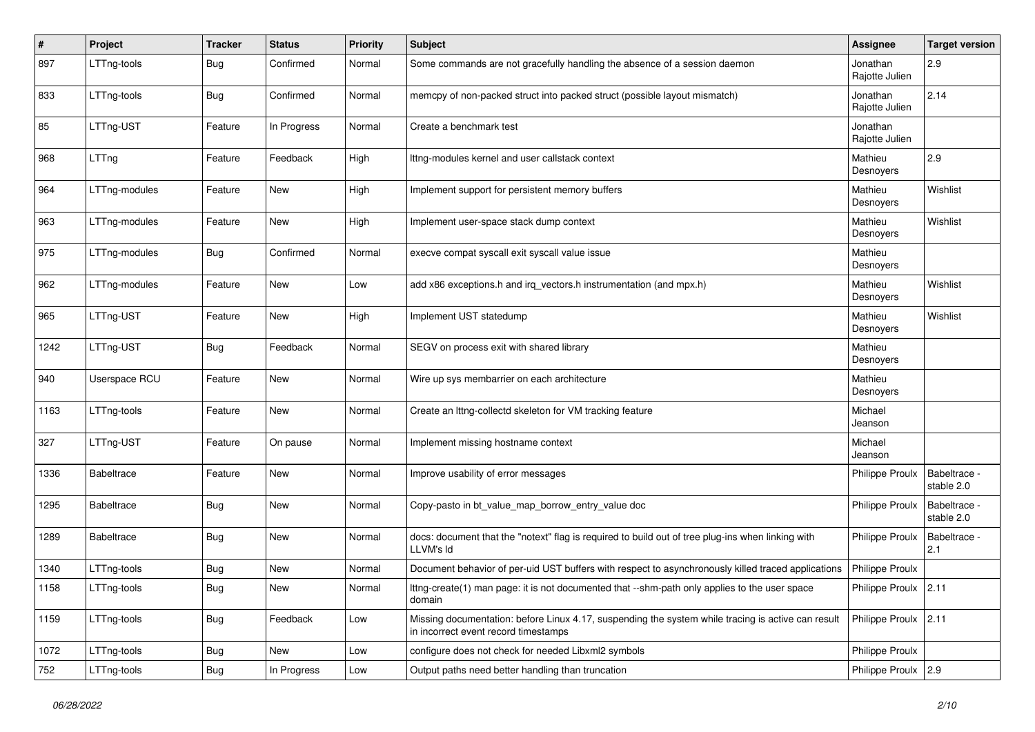| #    | Project           | <b>Tracker</b> | <b>Status</b> | <b>Priority</b> | Subject                                                                                                                                    | Assignee                   | <b>Target version</b>      |
|------|-------------------|----------------|---------------|-----------------|--------------------------------------------------------------------------------------------------------------------------------------------|----------------------------|----------------------------|
| 897  | LTTng-tools       | Bug            | Confirmed     | Normal          | Some commands are not gracefully handling the absence of a session daemon                                                                  | Jonathan<br>Rajotte Julien | 2.9                        |
| 833  | LTTng-tools       | <b>Bug</b>     | Confirmed     | Normal          | memcpy of non-packed struct into packed struct (possible layout mismatch)                                                                  | Jonathan<br>Rajotte Julien | 2.14                       |
| 85   | LTTng-UST         | Feature        | In Progress   | Normal          | Create a benchmark test                                                                                                                    | Jonathan<br>Rajotte Julien |                            |
| 968  | LTTng             | Feature        | Feedback      | High            | Ittng-modules kernel and user callstack context                                                                                            | Mathieu<br>Desnoyers       | 2.9                        |
| 964  | LTTng-modules     | Feature        | New           | High            | Implement support for persistent memory buffers                                                                                            | Mathieu<br>Desnoyers       | Wishlist                   |
| 963  | LTTng-modules     | Feature        | New           | High            | Implement user-space stack dump context                                                                                                    | Mathieu<br>Desnoyers       | Wishlist                   |
| 975  | LTTng-modules     | <b>Bug</b>     | Confirmed     | Normal          | execve compat syscall exit syscall value issue                                                                                             | Mathieu<br>Desnoyers       |                            |
| 962  | LTTng-modules     | Feature        | New           | Low             | add x86 exceptions.h and irq_vectors.h instrumentation (and mpx.h)                                                                         | Mathieu<br>Desnoyers       | Wishlist                   |
| 965  | LTTng-UST         | Feature        | New           | High            | Implement UST statedump                                                                                                                    | Mathieu<br>Desnoyers       | Wishlist                   |
| 1242 | LTTng-UST         | <b>Bug</b>     | Feedback      | Normal          | SEGV on process exit with shared library                                                                                                   | Mathieu<br>Desnoyers       |                            |
| 940  | Userspace RCU     | Feature        | New           | Normal          | Wire up sys membarrier on each architecture                                                                                                | Mathieu<br>Desnoyers       |                            |
| 1163 | LTTng-tools       | Feature        | New           | Normal          | Create an Ittng-collectd skeleton for VM tracking feature                                                                                  | Michael<br>Jeanson         |                            |
| 327  | LTTng-UST         | Feature        | On pause      | Normal          | Implement missing hostname context                                                                                                         | Michael<br>Jeanson         |                            |
| 1336 | <b>Babeltrace</b> | Feature        | New           | Normal          | Improve usability of error messages                                                                                                        | <b>Philippe Proulx</b>     | Babeltrace -<br>stable 2.0 |
| 1295 | <b>Babeltrace</b> | <b>Bug</b>     | New           | Normal          | Copy-pasto in bt_value_map_borrow_entry_value doc                                                                                          | <b>Philippe Proulx</b>     | Babeltrace -<br>stable 2.0 |
| 1289 | Babeltrace        | <b>Bug</b>     | New           | Normal          | docs: document that the "notext" flag is required to build out of tree plug-ins when linking with<br>LLVM's Id                             | <b>Philippe Proulx</b>     | Babeltrace -<br>2.1        |
| 1340 | LTTng-tools       | <b>Bug</b>     | New           | Normal          | Document behavior of per-uid UST buffers with respect to asynchronously killed traced applications                                         | Philippe Proulx            |                            |
| 1158 | LTTng-tools       | Bug            | New           | Normal          | Ittng-create(1) man page: it is not documented that --shm-path only applies to the user space<br>domain                                    | Philippe Proulx 2.11       |                            |
| 1159 | LTTng-tools       | <b>Bug</b>     | Feedback      | Low             | Missing documentation: before Linux 4.17, suspending the system while tracing is active can result<br>in incorrect event record timestamps | Philippe Proulx 2.11       |                            |
| 1072 | LTTng-tools       | <b>Bug</b>     | New           | Low             | configure does not check for needed Libxml2 symbols                                                                                        | Philippe Proulx            |                            |
| 752  | LTTng-tools       | <b>Bug</b>     | In Progress   | Low             | Output paths need better handling than truncation                                                                                          | Philippe Proulx 2.9        |                            |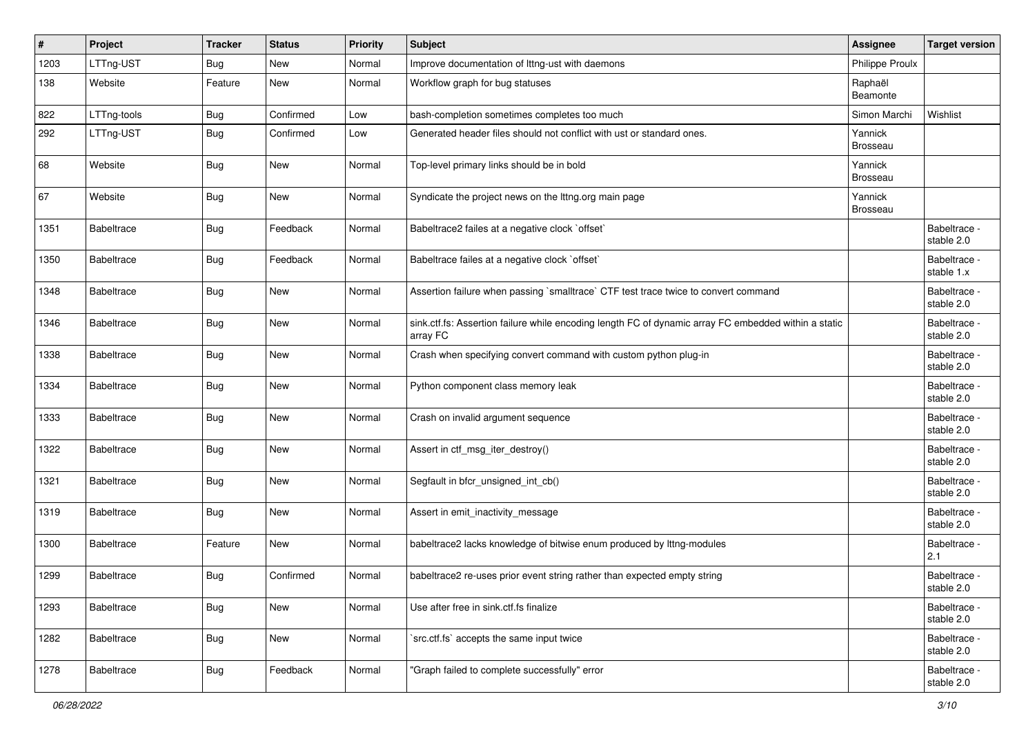| #    | Project           | <b>Tracker</b> | <b>Status</b> | <b>Priority</b> | Subject                                                                                                          | <b>Assignee</b>            | <b>Target version</b>      |
|------|-------------------|----------------|---------------|-----------------|------------------------------------------------------------------------------------------------------------------|----------------------------|----------------------------|
| 1203 | LTTng-UST         | <b>Bug</b>     | New           | Normal          | Improve documentation of Ittng-ust with daemons                                                                  | <b>Philippe Proulx</b>     |                            |
| 138  | Website           | Feature        | New           | Normal          | Workflow graph for bug statuses                                                                                  | Raphaël<br>Beamonte        |                            |
| 822  | LTTng-tools       | <b>Bug</b>     | Confirmed     | Low             | bash-completion sometimes completes too much                                                                     | Simon Marchi               | Wishlist                   |
| 292  | LTTng-UST         | Bug            | Confirmed     | Low             | Generated header files should not conflict with ust or standard ones.                                            | Yannick<br><b>Brosseau</b> |                            |
| 68   | Website           | <b>Bug</b>     | New           | Normal          | Top-level primary links should be in bold                                                                        | Yannick<br>Brosseau        |                            |
| 67   | Website           | Bug            | New           | Normal          | Syndicate the project news on the lttng.org main page                                                            | Yannick<br>Brosseau        |                            |
| 1351 | <b>Babeltrace</b> | Bug            | Feedback      | Normal          | Babeltrace2 failes at a negative clock `offset`                                                                  |                            | Babeltrace -<br>stable 2.0 |
| 1350 | <b>Babeltrace</b> | <b>Bug</b>     | Feedback      | Normal          | Babeltrace failes at a negative clock `offset`                                                                   |                            | Babeltrace -<br>stable 1.x |
| 1348 | <b>Babeltrace</b> | Bug            | New           | Normal          | Assertion failure when passing `smalltrace` CTF test trace twice to convert command                              |                            | Babeltrace -<br>stable 2.0 |
| 1346 | <b>Babeltrace</b> | <b>Bug</b>     | New           | Normal          | sink.ctf.fs: Assertion failure while encoding length FC of dynamic array FC embedded within a static<br>array FC |                            | Babeltrace -<br>stable 2.0 |
| 1338 | <b>Babeltrace</b> | <b>Bug</b>     | New           | Normal          | Crash when specifying convert command with custom python plug-in                                                 |                            | Babeltrace -<br>stable 2.0 |
| 1334 | <b>Babeltrace</b> | <b>Bug</b>     | New           | Normal          | Python component class memory leak                                                                               |                            | Babeltrace -<br>stable 2.0 |
| 1333 | <b>Babeltrace</b> | Bug            | New           | Normal          | Crash on invalid argument sequence                                                                               |                            | Babeltrace -<br>stable 2.0 |
| 1322 | <b>Babeltrace</b> | Bug            | New           | Normal          | Assert in ctf_msg_iter_destroy()                                                                                 |                            | Babeltrace -<br>stable 2.0 |
| 1321 | <b>Babeltrace</b> | Bug            | New           | Normal          | Segfault in bfcr_unsigned_int_cb()                                                                               |                            | Babeltrace -<br>stable 2.0 |
| 1319 | <b>Babeltrace</b> | Bug            | New           | Normal          | Assert in emit_inactivity_message                                                                                |                            | Babeltrace -<br>stable 2.0 |
| 1300 | Babeltrace        | Feature        | New           | Normal          | babeltrace2 lacks knowledge of bitwise enum produced by lttng-modules                                            |                            | Babeltrace -<br>2.1        |
| 1299 | <b>Babeltrace</b> | Bug            | Confirmed     | Normal          | babeltrace2 re-uses prior event string rather than expected empty string                                         |                            | Babeltrace -<br>stable 2.0 |
| 1293 | <b>Babeltrace</b> | <b>Bug</b>     | New           | Normal          | Use after free in sink.ctf.fs finalize                                                                           |                            | Babeltrace -<br>stable 2.0 |
| 1282 | Babeltrace        | <b>Bug</b>     | New           | Normal          | `src.ctf.fs` accepts the same input twice                                                                        |                            | Babeltrace -<br>stable 2.0 |
| 1278 | Babeltrace        | <b>Bug</b>     | Feedback      | Normal          | "Graph failed to complete successfully" error                                                                    |                            | Babeltrace -<br>stable 2.0 |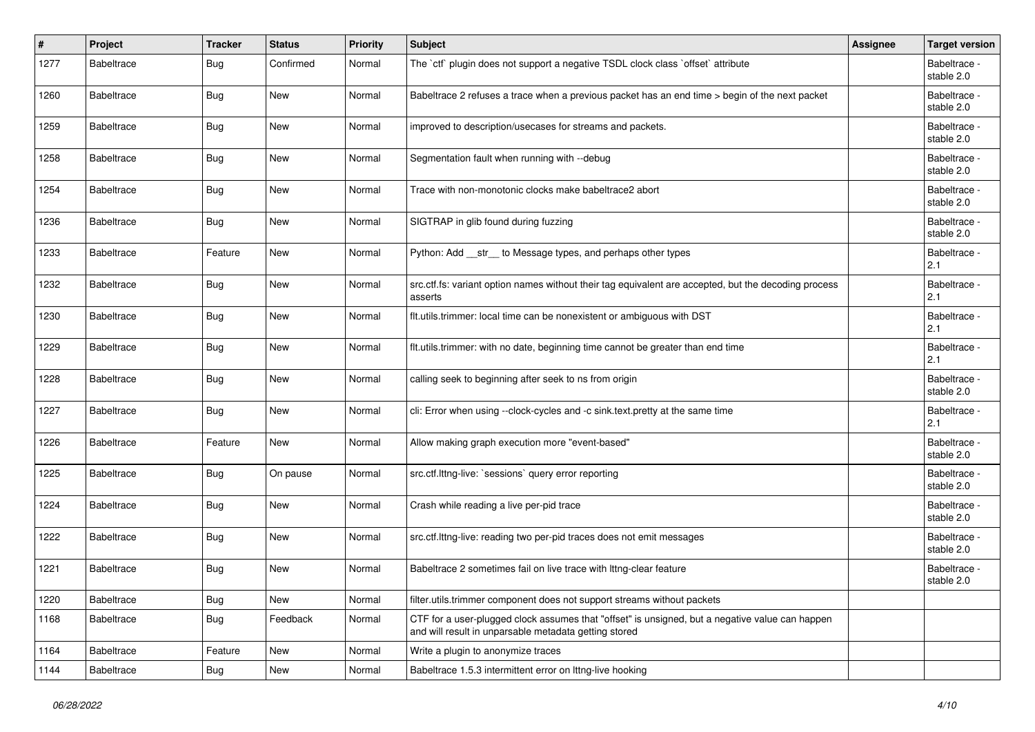| #    | Project           | <b>Tracker</b> | <b>Status</b> | <b>Priority</b> | Subject                                                                                                                                                  | Assignee | <b>Target version</b>      |
|------|-------------------|----------------|---------------|-----------------|----------------------------------------------------------------------------------------------------------------------------------------------------------|----------|----------------------------|
| 1277 | <b>Babeltrace</b> | Bug            | Confirmed     | Normal          | The `ctf` plugin does not support a negative TSDL clock class `offset` attribute                                                                         |          | Babeltrace -<br>stable 2.0 |
| 1260 | <b>Babeltrace</b> | Bug            | New           | Normal          | Babeltrace 2 refuses a trace when a previous packet has an end time > begin of the next packet                                                           |          | Babeltrace -<br>stable 2.0 |
| 1259 | <b>Babeltrace</b> | Bug            | New           | Normal          | improved to description/usecases for streams and packets.                                                                                                |          | Babeltrace -<br>stable 2.0 |
| 1258 | <b>Babeltrace</b> | Bug            | New           | Normal          | Segmentation fault when running with --debug                                                                                                             |          | Babeltrace -<br>stable 2.0 |
| 1254 | Babeltrace        | <b>Bug</b>     | New           | Normal          | Trace with non-monotonic clocks make babeltrace2 abort                                                                                                   |          | Babeltrace -<br>stable 2.0 |
| 1236 | <b>Babeltrace</b> | Bug            | New           | Normal          | SIGTRAP in glib found during fuzzing                                                                                                                     |          | Babeltrace -<br>stable 2.0 |
| 1233 | <b>Babeltrace</b> | Feature        | New           | Normal          | Python: Add __str__ to Message types, and perhaps other types                                                                                            |          | Babeltrace -<br>2.1        |
| 1232 | <b>Babeltrace</b> | Bug            | New           | Normal          | src.ctf.fs: variant option names without their tag equivalent are accepted, but the decoding process<br>asserts                                          |          | Babeltrace -<br>2.1        |
| 1230 | <b>Babeltrace</b> | Bug            | New           | Normal          | flt.utils.trimmer: local time can be nonexistent or ambiguous with DST                                                                                   |          | Babeltrace -<br>2.1        |
| 1229 | <b>Babeltrace</b> | Bug            | New           | Normal          | flt.utils.trimmer: with no date, beginning time cannot be greater than end time                                                                          |          | Babeltrace -<br>2.1        |
| 1228 | <b>Babeltrace</b> | Bug            | New           | Normal          | calling seek to beginning after seek to ns from origin                                                                                                   |          | Babeltrace -<br>stable 2.0 |
| 1227 | Babeltrace        | Bug            | New           | Normal          | cli: Error when using --clock-cycles and -c sink.text.pretty at the same time                                                                            |          | Babeltrace -<br>2.1        |
| 1226 | Babeltrace        | Feature        | New           | Normal          | Allow making graph execution more "event-based"                                                                                                          |          | Babeltrace -<br>stable 2.0 |
| 1225 | <b>Babeltrace</b> | Bug            | On pause      | Normal          | src.ctf.lttng-live: `sessions` query error reporting                                                                                                     |          | Babeltrace -<br>stable 2.0 |
| 1224 | <b>Babeltrace</b> | <b>Bug</b>     | New           | Normal          | Crash while reading a live per-pid trace                                                                                                                 |          | Babeltrace -<br>stable 2.0 |
| 1222 | <b>Babeltrace</b> | <b>Bug</b>     | New           | Normal          | src.ctf.lttng-live: reading two per-pid traces does not emit messages                                                                                    |          | Babeltrace -<br>stable 2.0 |
| 1221 | <b>Babeltrace</b> | <b>Bug</b>     | New           | Normal          | Babeltrace 2 sometimes fail on live trace with Ittng-clear feature                                                                                       |          | Babeltrace -<br>stable 2.0 |
| 1220 | Babeltrace        | <b>Bug</b>     | New           | Normal          | filter.utils.trimmer component does not support streams without packets                                                                                  |          |                            |
| 1168 | Babeltrace        | <b>Bug</b>     | Feedback      | Normal          | CTF for a user-plugged clock assumes that "offset" is unsigned, but a negative value can happen<br>and will result in unparsable metadata getting stored |          |                            |
| 1164 | Babeltrace        | Feature        | New           | Normal          | Write a plugin to anonymize traces                                                                                                                       |          |                            |
| 1144 | Babeltrace        | Bug            | New           | Normal          | Babeltrace 1.5.3 intermittent error on Ittng-live hooking                                                                                                |          |                            |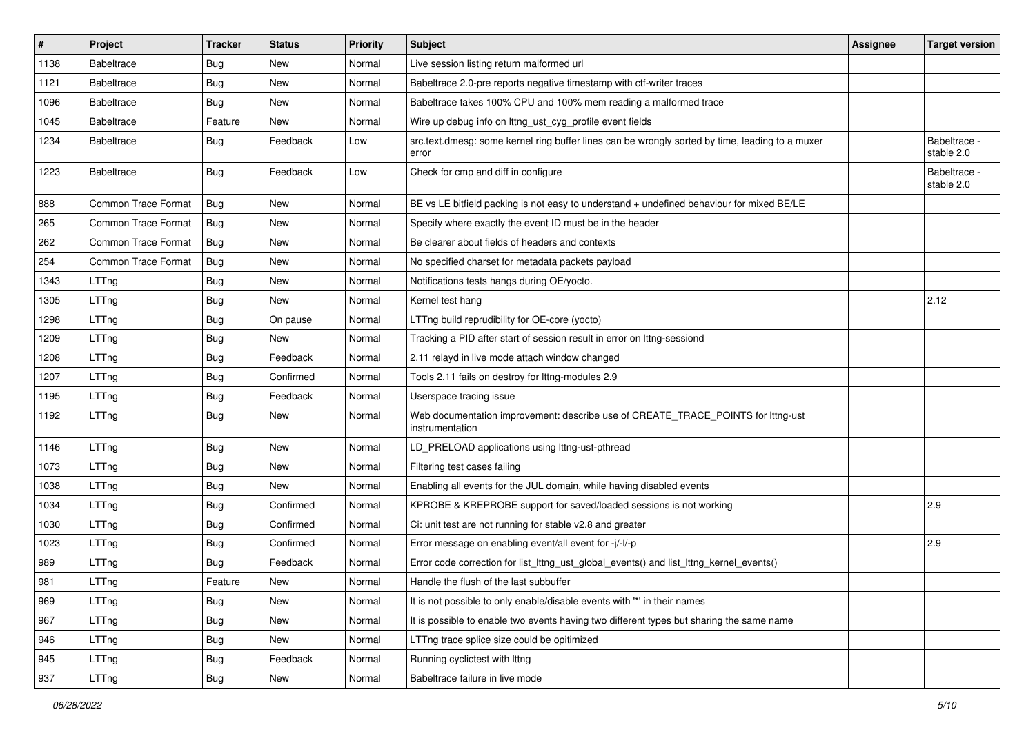| $\#$ | Project                    | <b>Tracker</b> | <b>Status</b> | <b>Priority</b> | <b>Subject</b>                                                                                           | <b>Assignee</b> | <b>Target version</b>      |
|------|----------------------------|----------------|---------------|-----------------|----------------------------------------------------------------------------------------------------------|-----------------|----------------------------|
| 1138 | <b>Babeltrace</b>          | Bug            | New           | Normal          | Live session listing return malformed url                                                                |                 |                            |
| 1121 | <b>Babeltrace</b>          | Bug            | New           | Normal          | Babeltrace 2.0-pre reports negative timestamp with ctf-writer traces                                     |                 |                            |
| 1096 | <b>Babeltrace</b>          | Bug            | New           | Normal          | Babeltrace takes 100% CPU and 100% mem reading a malformed trace                                         |                 |                            |
| 1045 | <b>Babeltrace</b>          | Feature        | New           | Normal          | Wire up debug info on lttng_ust_cyg_profile event fields                                                 |                 |                            |
| 1234 | <b>Babeltrace</b>          | <b>Bug</b>     | Feedback      | Low             | src.text.dmesg: some kernel ring buffer lines can be wrongly sorted by time, leading to a muxer<br>error |                 | Babeltrace -<br>stable 2.0 |
| 1223 | <b>Babeltrace</b>          | Bug            | Feedback      | Low             | Check for cmp and diff in configure                                                                      |                 | Babeltrace -<br>stable 2.0 |
| 888  | <b>Common Trace Format</b> | Bug            | <b>New</b>    | Normal          | BE vs LE bitfield packing is not easy to understand + undefined behaviour for mixed BE/LE                |                 |                            |
| 265  | Common Trace Format        | Bug            | New           | Normal          | Specify where exactly the event ID must be in the header                                                 |                 |                            |
| 262  | <b>Common Trace Format</b> | Bug            | New           | Normal          | Be clearer about fields of headers and contexts                                                          |                 |                            |
| 254  | <b>Common Trace Format</b> | Bug            | New           | Normal          | No specified charset for metadata packets payload                                                        |                 |                            |
| 1343 | LTTng                      | Bug            | New           | Normal          | Notifications tests hangs during OE/yocto.                                                               |                 |                            |
| 1305 | LTTng                      | Bug            | New           | Normal          | Kernel test hang                                                                                         |                 | 2.12                       |
| 1298 | LTTng                      | <b>Bug</b>     | On pause      | Normal          | LTTng build reprudibility for OE-core (yocto)                                                            |                 |                            |
| 1209 | LTTng                      | Bug            | New           | Normal          | Tracking a PID after start of session result in error on lttng-sessiond                                  |                 |                            |
| 1208 | LTTng                      | Bug            | Feedback      | Normal          | 2.11 relayd in live mode attach window changed                                                           |                 |                            |
| 1207 | LTTng                      | Bug            | Confirmed     | Normal          | Tools 2.11 fails on destroy for lttng-modules 2.9                                                        |                 |                            |
| 1195 | LTTng                      | <b>Bug</b>     | Feedback      | Normal          | Userspace tracing issue                                                                                  |                 |                            |
| 1192 | LTTng                      | Bug            | New           | Normal          | Web documentation improvement: describe use of CREATE_TRACE_POINTS for lttng-ust<br>instrumentation      |                 |                            |
| 1146 | LTTng                      | Bug            | New           | Normal          | LD_PRELOAD applications using lttng-ust-pthread                                                          |                 |                            |
| 1073 | LTTng                      | Bug            | New           | Normal          | Filtering test cases failing                                                                             |                 |                            |
| 1038 | LTTng                      | Bug            | New           | Normal          | Enabling all events for the JUL domain, while having disabled events                                     |                 |                            |
| 1034 | LTTng                      | <b>Bug</b>     | Confirmed     | Normal          | KPROBE & KREPROBE support for saved/loaded sessions is not working                                       |                 | 2.9                        |
| 1030 | LTTng                      | Bug            | Confirmed     | Normal          | Ci: unit test are not running for stable v2.8 and greater                                                |                 |                            |
| 1023 | LTTng                      | Bug            | Confirmed     | Normal          | Error message on enabling event/all event for -j/-l/-p                                                   |                 | 2.9                        |
| 989  | LTTng                      | <b>Bug</b>     | Feedback      | Normal          | Error code correction for list_lttng_ust_global_events() and list_lttng_kernel_events()                  |                 |                            |
| 981  | LTTng                      | Feature        | New           | Normal          | Handle the flush of the last subbuffer                                                                   |                 |                            |
| 969  | LTTng                      | <b>Bug</b>     | New           | Normal          | It is not possible to only enable/disable events with "*' in their names                                 |                 |                            |
| 967  | LTTng                      | <b>Bug</b>     | New           | Normal          | It is possible to enable two events having two different types but sharing the same name                 |                 |                            |
| 946  | LTTng                      | <b>Bug</b>     | New           | Normal          | LTTng trace splice size could be opitimized                                                              |                 |                            |
| 945  | LTTng                      | Bug            | Feedback      | Normal          | Running cyclictest with Ittng                                                                            |                 |                            |
| 937  | LTTng                      | <b>Bug</b>     | New           | Normal          | Babeltrace failure in live mode                                                                          |                 |                            |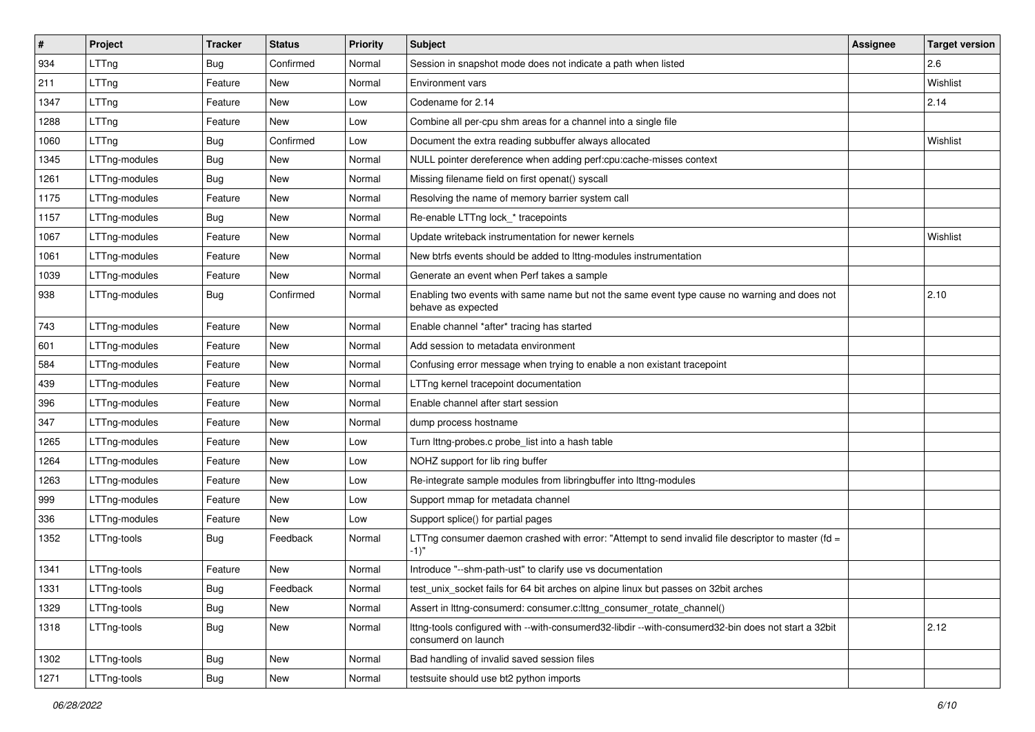| $\sharp$ | Project       | <b>Tracker</b> | <b>Status</b> | Priority | <b>Subject</b>                                                                                                             | <b>Assignee</b> | <b>Target version</b> |
|----------|---------------|----------------|---------------|----------|----------------------------------------------------------------------------------------------------------------------------|-----------------|-----------------------|
| 934      | LTTng         | <b>Bug</b>     | Confirmed     | Normal   | Session in snapshot mode does not indicate a path when listed                                                              |                 | 2.6                   |
| 211      | LTTng         | Feature        | <b>New</b>    | Normal   | <b>Environment vars</b>                                                                                                    |                 | Wishlist              |
| 1347     | LTTng         | Feature        | New           | Low      | Codename for 2.14                                                                                                          |                 | 2.14                  |
| 1288     | LTTng         | Feature        | New           | Low      | Combine all per-cpu shm areas for a channel into a single file                                                             |                 |                       |
| 1060     | LTTng         | <b>Bug</b>     | Confirmed     | Low      | Document the extra reading subbuffer always allocated                                                                      |                 | Wishlist              |
| 1345     | LTTng-modules | <b>Bug</b>     | New           | Normal   | NULL pointer dereference when adding perf:cpu:cache-misses context                                                         |                 |                       |
| 1261     | LTTng-modules | <b>Bug</b>     | New           | Normal   | Missing filename field on first openat() syscall                                                                           |                 |                       |
| 1175     | LTTng-modules | Feature        | New           | Normal   | Resolving the name of memory barrier system call                                                                           |                 |                       |
| 1157     | LTTng-modules | <b>Bug</b>     | New           | Normal   | Re-enable LTTng lock_* tracepoints                                                                                         |                 |                       |
| 1067     | LTTng-modules | Feature        | New           | Normal   | Update writeback instrumentation for newer kernels                                                                         |                 | Wishlist              |
| 1061     | LTTng-modules | Feature        | New           | Normal   | New btrfs events should be added to Ittng-modules instrumentation                                                          |                 |                       |
| 1039     | LTTng-modules | Feature        | New           | Normal   | Generate an event when Perf takes a sample                                                                                 |                 |                       |
| 938      | LTTng-modules | <b>Bug</b>     | Confirmed     | Normal   | Enabling two events with same name but not the same event type cause no warning and does not<br>behave as expected         |                 | 2.10                  |
| 743      | LTTng-modules | Feature        | <b>New</b>    | Normal   | Enable channel *after* tracing has started                                                                                 |                 |                       |
| 601      | LTTng-modules | Feature        | New           | Normal   | Add session to metadata environment                                                                                        |                 |                       |
| 584      | LTTng-modules | Feature        | New           | Normal   | Confusing error message when trying to enable a non existant tracepoint                                                    |                 |                       |
| 439      | LTTng-modules | Feature        | New           | Normal   | LTTng kernel tracepoint documentation                                                                                      |                 |                       |
| 396      | LTTng-modules | Feature        | New           | Normal   | Enable channel after start session                                                                                         |                 |                       |
| 347      | LTTng-modules | Feature        | New           | Normal   | dump process hostname                                                                                                      |                 |                       |
| 1265     | LTTng-modules | Feature        | New           | Low      | Turn lttng-probes.c probe_list into a hash table                                                                           |                 |                       |
| 1264     | LTTng-modules | Feature        | <b>New</b>    | Low      | NOHZ support for lib ring buffer                                                                                           |                 |                       |
| 1263     | LTTng-modules | Feature        | New           | Low      | Re-integrate sample modules from libringbuffer into Ittng-modules                                                          |                 |                       |
| 999      | LTTng-modules | Feature        | New           | Low      | Support mmap for metadata channel                                                                                          |                 |                       |
| 336      | LTTng-modules | Feature        | New           | Low      | Support splice() for partial pages                                                                                         |                 |                       |
| 1352     | LTTng-tools   | <b>Bug</b>     | Feedback      | Normal   | LTTng consumer daemon crashed with error: "Attempt to send invalid file descriptor to master (fd =<br>$-1$ "               |                 |                       |
| 1341     | LTTng-tools   | Feature        | <b>New</b>    | Normal   | Introduce "--shm-path-ust" to clarify use vs documentation                                                                 |                 |                       |
| 1331     | LTTng-tools   | <b>Bug</b>     | Feedback      | Normal   | test_unix_socket fails for 64 bit arches on alpine linux but passes on 32bit arches                                        |                 |                       |
| 1329     | LTTng-tools   | <b>Bug</b>     | New           | Normal   | Assert in lttng-consumerd: consumer.c:lttng_consumer_rotate_channel()                                                      |                 |                       |
| 1318     | LTTng-tools   | <b>Bug</b>     | New           | Normal   | Ittng-tools configured with --with-consumerd32-libdir --with-consumerd32-bin does not start a 32bit<br>consumerd on launch |                 | 2.12                  |
| 1302     | LTTng-tools   | Bug            | New           | Normal   | Bad handling of invalid saved session files                                                                                |                 |                       |
| 1271     | LTTng-tools   | <b>Bug</b>     | New           | Normal   | testsuite should use bt2 python imports                                                                                    |                 |                       |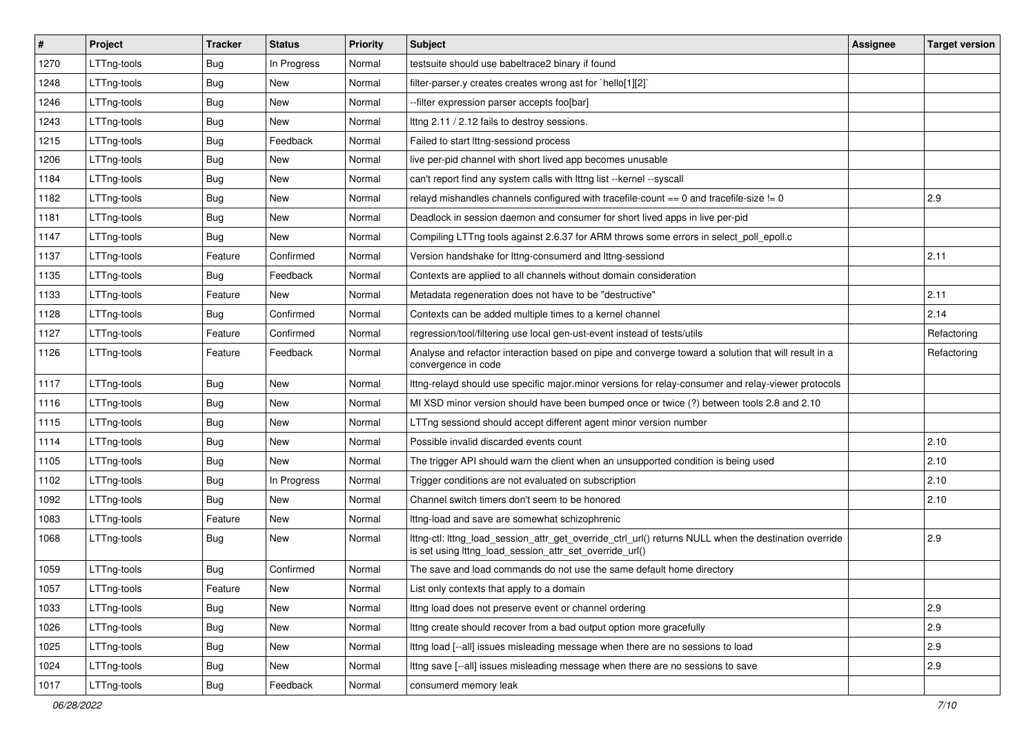| $\vert$ # | Project     | <b>Tracker</b> | <b>Status</b> | <b>Priority</b> | Subject                                                                                                                                                          | Assignee | <b>Target version</b> |
|-----------|-------------|----------------|---------------|-----------------|------------------------------------------------------------------------------------------------------------------------------------------------------------------|----------|-----------------------|
| 1270      | LTTng-tools | Bug            | In Progress   | Normal          | testsuite should use babeltrace2 binary if found                                                                                                                 |          |                       |
| 1248      | LTTng-tools | Bug            | New           | Normal          | filter-parser.y creates creates wrong ast for `hello[1][2]`                                                                                                      |          |                       |
| 1246      | LTTng-tools | <b>Bug</b>     | New           | Normal          | -filter expression parser accepts foo[bar]                                                                                                                       |          |                       |
| 1243      | LTTng-tools | Bug            | New           | Normal          | Ittng 2.11 / 2.12 fails to destroy sessions.                                                                                                                     |          |                       |
| 1215      | LTTng-tools | Bug            | Feedback      | Normal          | Failed to start lttng-sessiond process                                                                                                                           |          |                       |
| 1206      | LTTng-tools | <b>Bug</b>     | New           | Normal          | live per-pid channel with short lived app becomes unusable                                                                                                       |          |                       |
| 1184      | LTTng-tools | Bug            | New           | Normal          | can't report find any system calls with lttng list --kernel --syscall                                                                                            |          |                       |
| 1182      | LTTng-tools | Bug            | New           | Normal          | relayd mishandles channels configured with tracefile-count $== 0$ and tracefile-size $!= 0$                                                                      |          | 2.9                   |
| 1181      | LTTng-tools | Bug            | New           | Normal          | Deadlock in session daemon and consumer for short lived apps in live per-pid                                                                                     |          |                       |
| 1147      | LTTng-tools | <b>Bug</b>     | New           | Normal          | Compiling LTTng tools against 2.6.37 for ARM throws some errors in select_poll_epoll.c                                                                           |          |                       |
| 1137      | LTTng-tools | Feature        | Confirmed     | Normal          | Version handshake for Ittng-consumerd and Ittng-sessiond                                                                                                         |          | 2.11                  |
| 1135      | LTTng-tools | <b>Bug</b>     | Feedback      | Normal          | Contexts are applied to all channels without domain consideration                                                                                                |          |                       |
| 1133      | LTTng-tools | Feature        | <b>New</b>    | Normal          | Metadata regeneration does not have to be "destructive"                                                                                                          |          | 2.11                  |
| 1128      | LTTng-tools | Bug            | Confirmed     | Normal          | Contexts can be added multiple times to a kernel channel                                                                                                         |          | 2.14                  |
| 1127      | LTTng-tools | Feature        | Confirmed     | Normal          | regression/tool/filtering use local gen-ust-event instead of tests/utils                                                                                         |          | Refactoring           |
| 1126      | LTTng-tools | Feature        | Feedback      | Normal          | Analyse and refactor interaction based on pipe and converge toward a solution that will result in a<br>convergence in code                                       |          | Refactoring           |
| 1117      | LTTng-tools | Bug            | New           | Normal          | Ittng-relayd should use specific major.minor versions for relay-consumer and relay-viewer protocols                                                              |          |                       |
| 1116      | LTTng-tools | Bug            | New           | Normal          | MI XSD minor version should have been bumped once or twice (?) between tools 2.8 and 2.10                                                                        |          |                       |
| 1115      | LTTng-tools | Bug            | New           | Normal          | LTTng sessiond should accept different agent minor version number                                                                                                |          |                       |
| 1114      | LTTng-tools | Bug            | New           | Normal          | Possible invalid discarded events count                                                                                                                          |          | 2.10                  |
| 1105      | LTTng-tools | Bug            | New           | Normal          | The trigger API should warn the client when an unsupported condition is being used                                                                               |          | 2.10                  |
| 1102      | LTTng-tools | <b>Bug</b>     | In Progress   | Normal          | Trigger conditions are not evaluated on subscription                                                                                                             |          | 2.10                  |
| 1092      | LTTng-tools | Bug            | New           | Normal          | Channel switch timers don't seem to be honored                                                                                                                   |          | 2.10                  |
| 1083      | LTTng-tools | Feature        | New           | Normal          | Ittng-load and save are somewhat schizophrenic                                                                                                                   |          |                       |
| 1068      | LTTng-tools | <b>Bug</b>     | New           | Normal          | Ittng-ctl: Ittng_load_session_attr_get_override_ctrl_url() returns NULL when the destination override<br>is set using lttng_load_session_attr_set_override_url() |          | 2.9                   |
| 1059      | LTTng-tools | Bug            | Confirmed     | Normal          | The save and load commands do not use the same default home directory                                                                                            |          |                       |
| 1057      | LTTng-tools | Feature        | New           | Normal          | List only contexts that apply to a domain                                                                                                                        |          |                       |
| 1033      | LTTng-tools | <b>Bug</b>     | New           | Normal          | Ittng load does not preserve event or channel ordering                                                                                                           |          | 2.9                   |
| 1026      | LTTng-tools | <b>Bug</b>     | New           | Normal          | Ittng create should recover from a bad output option more gracefully                                                                                             |          | 2.9                   |
| 1025      | LTTng-tools | <b>Bug</b>     | New           | Normal          | Ittng load [--all] issues misleading message when there are no sessions to load                                                                                  |          | 2.9                   |
| 1024      | LTTng-tools | <b>Bug</b>     | New           | Normal          | Ittng save [--all] issues misleading message when there are no sessions to save                                                                                  |          | 2.9                   |
| 1017      | LTTng-tools | Bug            | Feedback      | Normal          | consumerd memory leak                                                                                                                                            |          |                       |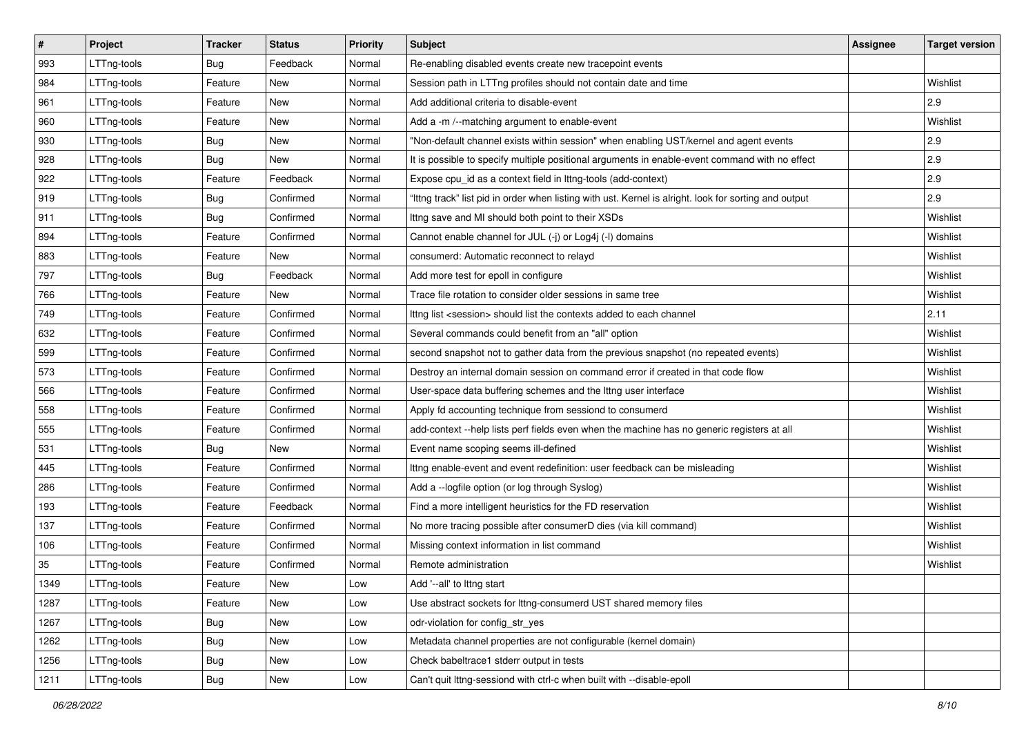| $\pmb{\#}$ | Project     | <b>Tracker</b> | <b>Status</b> | Priority | Subject                                                                                               | <b>Assignee</b> | <b>Target version</b> |
|------------|-------------|----------------|---------------|----------|-------------------------------------------------------------------------------------------------------|-----------------|-----------------------|
| 993        | LTTng-tools | Bug            | Feedback      | Normal   | Re-enabling disabled events create new tracepoint events                                              |                 |                       |
| 984        | LTTng-tools | Feature        | New           | Normal   | Session path in LTTng profiles should not contain date and time                                       |                 | Wishlist              |
| 961        | LTTng-tools | Feature        | <b>New</b>    | Normal   | Add additional criteria to disable-event                                                              |                 | 2.9                   |
| 960        | LTTng-tools | Feature        | New           | Normal   | Add a -m /--matching argument to enable-event                                                         |                 | Wishlist              |
| 930        | LTTng-tools | <b>Bug</b>     | New           | Normal   | "Non-default channel exists within session" when enabling UST/kernel and agent events                 |                 | 2.9                   |
| 928        | LTTng-tools | <b>Bug</b>     | New           | Normal   | It is possible to specify multiple positional arguments in enable-event command with no effect        |                 | 2.9                   |
| 922        | LTTng-tools | Feature        | Feedback      | Normal   | Expose cpu_id as a context field in lttng-tools (add-context)                                         |                 | 2.9                   |
| 919        | LTTng-tools | Bug            | Confirmed     | Normal   | "Ittng track" list pid in order when listing with ust. Kernel is alright. look for sorting and output |                 | 2.9                   |
| 911        | LTTng-tools | Bug            | Confirmed     | Normal   | Ittng save and MI should both point to their XSDs                                                     |                 | Wishlist              |
| 894        | LTTng-tools | Feature        | Confirmed     | Normal   | Cannot enable channel for JUL (-j) or Log4j (-l) domains                                              |                 | Wishlist              |
| 883        | LTTng-tools | Feature        | New           | Normal   | consumerd: Automatic reconnect to relayd                                                              |                 | Wishlist              |
| 797        | LTTng-tools | Bug            | Feedback      | Normal   | Add more test for epoll in configure                                                                  |                 | Wishlist              |
| 766        | LTTng-tools | Feature        | New           | Normal   | Trace file rotation to consider older sessions in same tree                                           |                 | Wishlist              |
| 749        | LTTng-tools | Feature        | Confirmed     | Normal   | Ittng list <session> should list the contexts added to each channel</session>                         |                 | 2.11                  |
| 632        | LTTng-tools | Feature        | Confirmed     | Normal   | Several commands could benefit from an "all" option                                                   |                 | Wishlist              |
| 599        | LTTng-tools | Feature        | Confirmed     | Normal   | second snapshot not to gather data from the previous snapshot (no repeated events)                    |                 | Wishlist              |
| 573        | LTTng-tools | Feature        | Confirmed     | Normal   | Destroy an internal domain session on command error if created in that code flow                      |                 | Wishlist              |
| 566        | LTTng-tools | Feature        | Confirmed     | Normal   | User-space data buffering schemes and the lttng user interface                                        |                 | Wishlist              |
| 558        | LTTng-tools | Feature        | Confirmed     | Normal   | Apply fd accounting technique from sessiond to consumerd                                              |                 | Wishlist              |
| 555        | LTTng-tools | Feature        | Confirmed     | Normal   | add-context --help lists perf fields even when the machine has no generic registers at all            |                 | Wishlist              |
| 531        | LTTng-tools | <b>Bug</b>     | New           | Normal   | Event name scoping seems ill-defined                                                                  |                 | Wishlist              |
| 445        | LTTng-tools | Feature        | Confirmed     | Normal   | Ittng enable-event and event redefinition: user feedback can be misleading                            |                 | Wishlist              |
| 286        | LTTng-tools | Feature        | Confirmed     | Normal   | Add a -- logfile option (or log through Syslog)                                                       |                 | Wishlist              |
| 193        | LTTng-tools | Feature        | Feedback      | Normal   | Find a more intelligent heuristics for the FD reservation                                             |                 | Wishlist              |
| 137        | LTTng-tools | Feature        | Confirmed     | Normal   | No more tracing possible after consumerD dies (via kill command)                                      |                 | Wishlist              |
| 106        | LTTng-tools | Feature        | Confirmed     | Normal   | Missing context information in list command                                                           |                 | Wishlist              |
| 35         | LTTng-tools | Feature        | Confirmed     | Normal   | Remote administration                                                                                 |                 | Wishlist              |
| 1349       | LTTng-tools | Feature        | New           | Low      | Add '--all' to lttng start                                                                            |                 |                       |
| 1287       | LTTng-tools | Feature        | New           | Low      | Use abstract sockets for Ittng-consumerd UST shared memory files                                      |                 |                       |
| 1267       | LTTng-tools | Bug            | New           | Low      | odr-violation for config_str_yes                                                                      |                 |                       |
| 1262       | LTTng-tools | Bug            | <b>New</b>    | Low      | Metadata channel properties are not configurable (kernel domain)                                      |                 |                       |
| 1256       | LTTng-tools | <b>Bug</b>     | New           | Low      | Check babeltrace1 stderr output in tests                                                              |                 |                       |
| 1211       | LTTng-tools | <b>Bug</b>     | New           | Low      | Can't quit lttng-sessiond with ctrl-c when built with --disable-epoll                                 |                 |                       |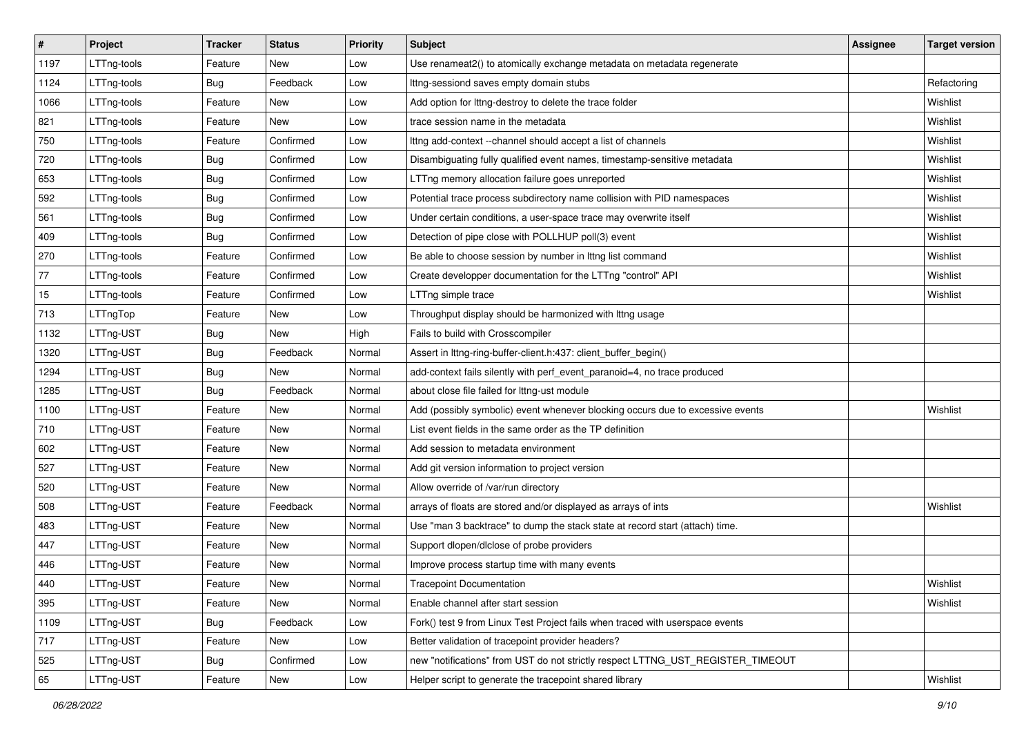| $\sharp$ | Project     | <b>Tracker</b> | <b>Status</b> | <b>Priority</b> | <b>Subject</b>                                                                  | Assignee | <b>Target version</b> |
|----------|-------------|----------------|---------------|-----------------|---------------------------------------------------------------------------------|----------|-----------------------|
| 1197     | LTTng-tools | Feature        | New           | Low             | Use renameat2() to atomically exchange metadata on metadata regenerate          |          |                       |
| 1124     | LTTng-tools | <b>Bug</b>     | Feedback      | Low             | Ittng-sessiond saves empty domain stubs                                         |          | Refactoring           |
| 1066     | LTTng-tools | Feature        | New           | Low             | Add option for lttng-destroy to delete the trace folder                         |          | Wishlist              |
| 821      | LTTng-tools | Feature        | New           | Low             | trace session name in the metadata                                              |          | Wishlist              |
| 750      | LTTng-tools | Feature        | Confirmed     | Low             | Ittng add-context --channel should accept a list of channels                    |          | Wishlist              |
| 720      | LTTng-tools | Bug            | Confirmed     | Low             | Disambiguating fully qualified event names, timestamp-sensitive metadata        |          | Wishlist              |
| 653      | LTTng-tools | <b>Bug</b>     | Confirmed     | Low             | LTTng memory allocation failure goes unreported                                 |          | Wishlist              |
| 592      | LTTng-tools | <b>Bug</b>     | Confirmed     | Low             | Potential trace process subdirectory name collision with PID namespaces         |          | Wishlist              |
| 561      | LTTng-tools | Bug            | Confirmed     | Low             | Under certain conditions, a user-space trace may overwrite itself               |          | Wishlist              |
| 409      | LTTng-tools | <b>Bug</b>     | Confirmed     | Low             | Detection of pipe close with POLLHUP poll(3) event                              |          | Wishlist              |
| 270      | LTTng-tools | Feature        | Confirmed     | Low             | Be able to choose session by number in Ittng list command                       |          | Wishlist              |
| 77       | LTTng-tools | Feature        | Confirmed     | Low             | Create developper documentation for the LTTng "control" API                     |          | Wishlist              |
| 15       | LTTng-tools | Feature        | Confirmed     | Low             | LTTng simple trace                                                              |          | Wishlist              |
| 713      | LTTngTop    | Feature        | New           | Low             | Throughput display should be harmonized with lttng usage                        |          |                       |
| 1132     | LTTng-UST   | <b>Bug</b>     | <b>New</b>    | High            | Fails to build with Crosscompiler                                               |          |                       |
| 1320     | LTTng-UST   | <b>Bug</b>     | Feedback      | Normal          | Assert in lttng-ring-buffer-client.h:437: client_buffer_begin()                 |          |                       |
| 1294     | LTTng-UST   | <b>Bug</b>     | New           | Normal          | add-context fails silently with perf_event_paranoid=4, no trace produced        |          |                       |
| 1285     | LTTng-UST   | <b>Bug</b>     | Feedback      | Normal          | about close file failed for Ittng-ust module                                    |          |                       |
| 1100     | LTTng-UST   | Feature        | New           | Normal          | Add (possibly symbolic) event whenever blocking occurs due to excessive events  |          | Wishlist              |
| 710      | LTTng-UST   | Feature        | <b>New</b>    | Normal          | List event fields in the same order as the TP definition                        |          |                       |
| 602      | LTTng-UST   | Feature        | New           | Normal          | Add session to metadata environment                                             |          |                       |
| 527      | LTTng-UST   | Feature        | <b>New</b>    | Normal          | Add git version information to project version                                  |          |                       |
| 520      | LTTng-UST   | Feature        | <b>New</b>    | Normal          | Allow override of /var/run directory                                            |          |                       |
| 508      | LTTng-UST   | Feature        | Feedback      | Normal          | arrays of floats are stored and/or displayed as arrays of ints                  |          | Wishlist              |
| 483      | LTTng-UST   | Feature        | <b>New</b>    | Normal          | Use "man 3 backtrace" to dump the stack state at record start (attach) time.    |          |                       |
| 447      | LTTng-UST   | Feature        | <b>New</b>    | Normal          | Support dlopen/dlclose of probe providers                                       |          |                       |
| 446      | LTTng-UST   | Feature        | New           | Normal          | Improve process startup time with many events                                   |          |                       |
| 440      | LTTng-UST   | Feature        | New           | Normal          | <b>Tracepoint Documentation</b>                                                 |          | Wishlist              |
| 395      | LTTng-UST   | Feature        | New           | Normal          | Enable channel after start session                                              |          | Wishlist              |
| 1109     | LTTng-UST   | Bug            | Feedback      | Low             | Fork() test 9 from Linux Test Project fails when traced with userspace events   |          |                       |
| 717      | LTTng-UST   | Feature        | New           | Low             | Better validation of tracepoint provider headers?                               |          |                       |
| 525      | LTTng-UST   | Bug            | Confirmed     | Low             | new "notifications" from UST do not strictly respect LTTNG_UST_REGISTER_TIMEOUT |          |                       |
| 65       | LTTng-UST   | Feature        | New           | Low             | Helper script to generate the tracepoint shared library                         |          | Wishlist              |